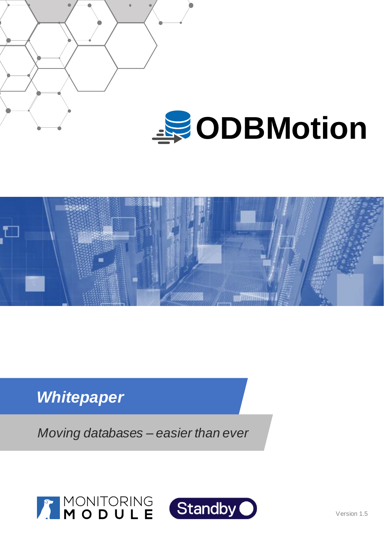



# *Whitepaper*

*Moving databases – easier than ever*



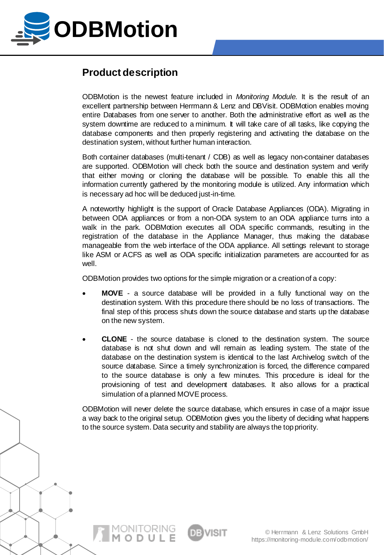

# **Product description**

ODBMotion is the newest feature included in *Monitoring Module*. It is the result of an excellent partnership between Herrmann & Lenz and DBVisit. ODBMotion enables moving entire Databases from one server to another. Both the administrative effort as well as the system downtime are reduced to a minimum. It will take care of all tasks, like copying the database components and then properly registering and activating the database on the destination system, without further human interaction.

Both container databases (multi-tenant / CDB) as well as legacy non-container databases are supported. ODBMotion will check both the source and destination system and verify that either moving or cloning the database will be possible. To enable this all the information currently gathered by the monitoring module is utilized. Any information which is necessary ad hoc will be deduced just-in-time.

A noteworthy highlight is the support of Oracle Database Appliances (ODA). Migrating in between ODA appliances or from a non-ODA system to an ODA appliance turns into a walk in the park. ODBMotion executes all ODA specific commands, resulting in the registration of the database in the Appliance Manager, thus making the database manageable from the web interface of the ODA appliance. All settings relevant to storage like ASM or ACFS as well as ODA specific initialization parameters are accounted for as well.

ODBMotion provides two options for the simple migration or a creationof a copy:

- **MOVE** a source database will be provided in a fully functional way on the destination system. With this procedure there should be no loss of transactions. The final step of this process shuts down the source database and starts up the database on the new system.
- **CLONE** the source database is cloned to the destination system. The source database is not shut down and will remain as leading system. The state of the database on the destination system is identical to the last Archivelog switch of the source database. Since a timely synchronization is forced, the difference compared to the source database is only a few minutes. This procedure is ideal for the provisioning of test and development databases. It also allows for a practical simulation of a planned MOVE process.

ODBMotion will never delete the source database, which ensures in case of a major issue a way back to the original setup. ODBMotion gives you the liberty of deciding what happens to the source system. Data security and stability are always the top priority.

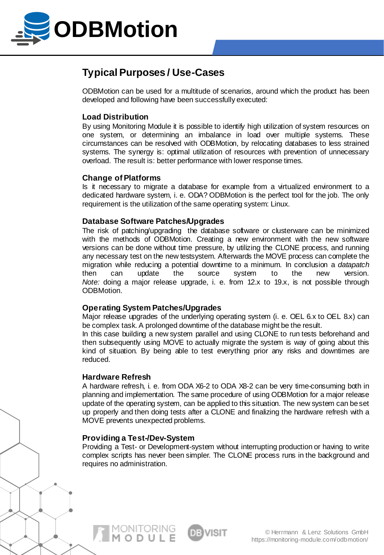

### **Typical Purposes / Use-Cases**

ODBMotion can be used for a multitude of scenarios, around which the product has been developed and following have been successfully executed:

### **Load Distribution**

By using Monitoring Module it is possible to identify high utilization of system resources on one system, or determining an imbalance in load over multiple systems. These circumstances can be resolved with ODBMotion, by relocating databases to less strained systems. The synergy is: optimal utilization of resources with prevention of unnecessary overload. The result is: better performance with lower response times.

#### **Change of Platforms**

Is it necessary to migrate a database for example from a virtualized environment to a dedicated hardware system, i. e. ODA? ODBMotion is the perfect tool for the job. The only requirement is the utilization of the same operating system: Linux.

#### **Database Software Patches/Upgrades**

The risk of patching/upgrading the database software or clusterware can be minimized with the methods of ODBMotion. Creating a new environment with the new software versions can be done without time pressure, by utilizing the CLONE process, and running any necessary test on the new testsystem. Afterwards the MOVE process can complete the migration while reducing a potential downtime to a minimum. In conclusion a *datapatch* then can update the source system to the new version. *Note:* doing a major release upgrade, i. e. from 12.x to 19.x, is not possible through ODBMotion.

### **Operating System Patches/Upgrades**

Major release upgrades of the underlying operating system (i. e. OEL 6.x to OEL 8.x) can be complex task. A prolonged downtime of the database might be the result.

In this case building a new system parallel and using CLONE to run tests beforehand and then subsequently using MOVE to actually migrate the system is way of going about this kind of situation. By being able to test everything prior any risks and downtimes are reduced.

#### **Hardware Refresh**

A hardware refresh, i. e. from ODA X6-2 to ODA X8-2 can be very time-consuming both in planning and implementation. The same procedure of using ODBMotion for a major release update of the operating system, can be applied to this situation. The new system can beset up properly and then doing tests after a CLONE and finalizing the hardware refresh with a MOVE prevents unexpected problems.

#### **Providing a Test-/Dev-System**

MONITORING<br>**M o d u l e** 

Providing a Test- or Development-system without interrupting production or having to write complex scripts has never been simpler. The CLONE process runs in the background and requires no administration.

> © Herrmann & Lenz Solutions GmbH https://monitoring-module.com/odbmotion/